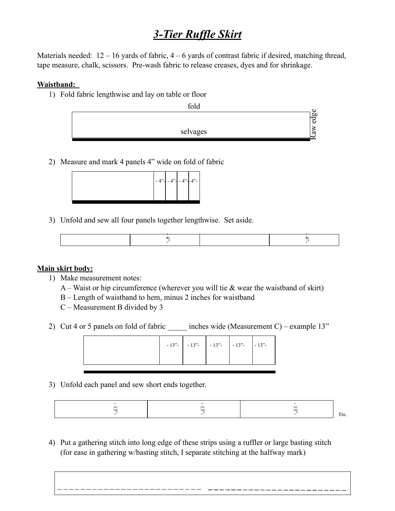## *3-Tier Ruffle Skirt*

Materials needed:  $12 - 16$  yards of fabric,  $4 - 6$  yards of contrast fabric if desired, matching thread, tape measure, chalk, scissors. Pre-wash fabric to release creases, dyes and for shrinkage.

## **Waistband:**

1) Fold fabric lengthwise and lay on table or floor



2) Measure and mark 4 panels 4" wide on fold of fabric



3) Unfold and sew all four panels together lengthwise. Set aside.

|                    |                                                              |  |                                                       |  | $rac{4}{\sqrt{2}}$                                                                      |
|--------------------|--------------------------------------------------------------|--|-------------------------------------------------------|--|-----------------------------------------------------------------------------------------|
|                    |                                                              |  |                                                       |  |                                                                                         |
|                    |                                                              |  |                                                       |  |                                                                                         |
| <u>skirt body:</u> |                                                              |  |                                                       |  |                                                                                         |
|                    | Make measurement notes:                                      |  |                                                       |  |                                                                                         |
|                    |                                                              |  |                                                       |  | A – Waist or hip circumference (wherever you will tie $\&$ wear the waistband of skirt) |
|                    |                                                              |  |                                                       |  |                                                                                         |
|                    | B – Length of waistband to hem, minus 2 inches for waistband |  |                                                       |  |                                                                                         |
|                    | $C$ – Measurement B divided by 3                             |  |                                                       |  |                                                                                         |
|                    |                                                              |  |                                                       |  |                                                                                         |
|                    |                                                              |  |                                                       |  |                                                                                         |
|                    | Cut 4 or 5 panels on fold of fabric                          |  |                                                       |  | inches wide (Measurement C) – example $13"$                                             |
|                    |                                                              |  |                                                       |  |                                                                                         |
|                    |                                                              |  |                                                       |  |                                                                                         |
|                    |                                                              |  | $-13"$ - $-13"$ - $-13"$ - $-13"$ - $-13"$ - $-13"$ - |  |                                                                                         |

## **Main skirt body:**

- 1) Make measurement notes:
	- A Waist or hip circumference (wherever you will tie  $\&$  wear the waistband of skirt)
	- B Length of waistband to hem, minus 2 inches for waistband
	- C Measurement B divided by 3
- 2) Cut 4 or 5 panels on fold of fabric  $\qquad \qquad$  inches wide (Measurement C) example 13"



3) Unfold each panel and sew short ends together.

4) Put a gathering stitch into long edge of these strips using a ruffler or large basting stitch (for ease in gathering w/basting stitch, I separate stitching at the halfway mark)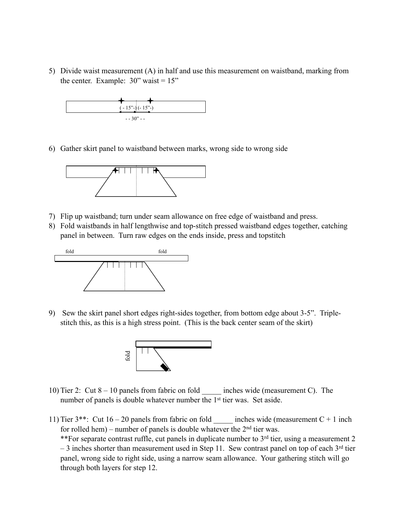5) Divide waist measurement (A) in half and use this measurement on waistband, marking from the center. Example:  $30$ " waist =  $15$ "



6) Gather skirt panel to waistband between marks, wrong side to wrong side



- 7) Flip up waistband; turn under seam allowance on free edge of waistband and press.
- 8) Fold waistbands in half lengthwise and top-stitch pressed waistband edges together, catching panel in between. Turn raw edges on the ends inside, press and topstitch



9) Sew the skirt panel short edges right-sides together, from bottom edge about 3-5". Triplestitch this, as this is a high stress point. (This is the back center seam of the skirt)



- 10) Tier 2: Cut 8 10 panels from fabric on fold \_\_\_\_\_ inches wide (measurement C). The number of panels is double whatever number the 1<sup>st</sup> tier was. Set aside.
- 11) Tier  $3^{**}$ : Cut  $16 20$  panels from fabric on fold inches wide (measurement C + 1 inch for rolled hem) – number of panels is double whatever the  $2<sup>nd</sup>$  tier was. \*\*For separate contrast ruffle, cut panels in duplicate number to  $3<sup>rd</sup>$  tier, using a measurement 2  $-3$  inches shorter than measurement used in Step 11. Sew contrast panel on top of each  $3<sup>rd</sup>$  tier panel, wrong side to right side, using a narrow seam allowance. Your gathering stitch will go through both layers for step 12.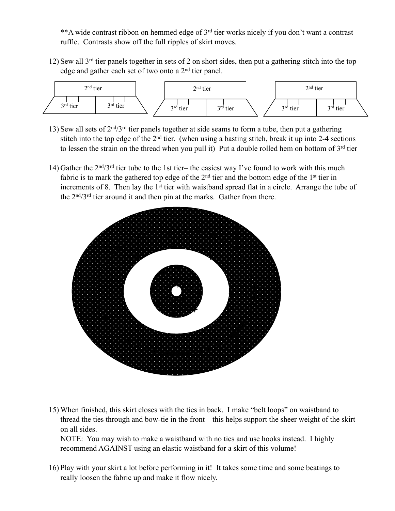\*\*A wide contrast ribbon on hemmed edge of 3rd tier works nicely if you don't want a contrast ruffle. Contrasts show off the full ripples of skirt moves.

12) Sew all 3rd tier panels together in sets of 2 on short sides, then put a gathering stitch into the top edge and gather each set of two onto a 2nd tier panel.



- 13) Sew all sets of  $2<sup>nd</sup>/3<sup>rd</sup>$  tier panels together at side seams to form a tube, then put a gathering stitch into the top edge of the  $2<sup>nd</sup>$  tier. (when using a basting stitch, break it up into 2-4 sections to lessen the strain on the thread when you pull it) Put a double rolled hem on bottom of  $3<sup>rd</sup>$  tier
- 14) Gather the 2nd/3rd tier tube to the 1st tier– the easiest way I've found to work with this much fabric is to mark the gathered top edge of the  $2<sup>nd</sup>$  tier and the bottom edge of the  $1<sup>st</sup>$  tier in increments of 8. Then lay the 1<sup>st</sup> tier with waistband spread flat in a circle. Arrange the tube of the 2nd/3rd tier around it and then pin at the marks. Gather from there.



15) When finished, this skirt closes with the ties in back. I make "belt loops" on waistband to thread the ties through and bow-tie in the front—this helps support the sheer weight of the skirt on all sides.

NOTE: You may wish to make a waistband with no ties and use hooks instead. I highly recommend AGAINST using an elastic waistband for a skirt of this volume!

16) Play with your skirt a lot before performing in it! It takes some time and some beatings to really loosen the fabric up and make it flow nicely.